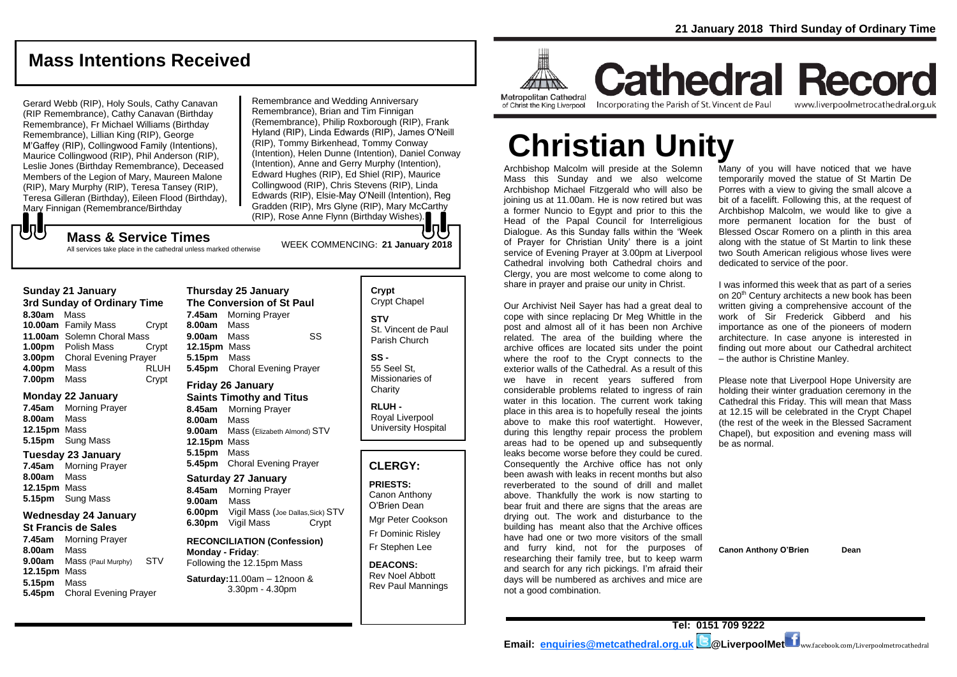## **Mass Intentions Received**

Gerard Webb (RIP), Holy Souls, Cathy Canavan (RIP Remembrance), Cathy Canavan (Birthday Remembrance), Fr Michael Williams (Birthday Remembrance), Lillian King (RIP), George M'Gaffey (RIP), Collingwood Family (Intentions), Maurice Collingwood (RIP), Phil Anderson (RIP), Leslie Jones (Birthday Remembrance), Deceased Members of the Legion of Mary, Maureen Malone (RIP), Mary Murphy (RIP), Teresa Tansey (RIP), Teresa Gilleran (Birthday), Eileen Flood (Birthday), Mary Finnigan (Remembrance/Birthday

Remembrance and Wedding Anniversary Remembrance), Brian and Tim Finnigan (Remembrance), Philip Roxborough (RIP), Frank Hyland (RIP), Linda Edwards (RIP), James O'Neill (RIP), Tommy Birkenhead, Tommy Conway (Intention), Helen Dunne (Intention), Daniel Conway (Intention), Anne and Gerry Murphy (Intention), Edward Hughes (RIP), Ed Shiel (RIP), Maurice Collingwood (RIP), Chris Stevens (RIP), Linda Edwards (RIP), Elsie-May O'Neill (Intention), Reg Gradden (RIP), Mrs Glyne (RIP), Mary McCarthy (RIP), Rose Anne Flynn (Birthday Wishes).

### もし WEEK COMMENCING: **<sup>21</sup> January 2018 Mass & Service Times**

All services take place in the cathedral unless marked otherwise

### **Sunday 21 January**

**3rd Sunday of Ordinary Time 8.30am** Mass **10.00am** Family Mass Crypt **11.00am** Solemn Choral Mass **1.00pm** Polish Mass Crypt **3.00pm** Choral Evening Prayer **4.00pm** Mass RLUH **7.00pm** Mass Crypt

### **Monday 22 January**

**7.45am** Morning Prayer **8.00am** Mass **12.15pm** Mass **5.15pm** Sung Mass

### **Tuesday 23 January**

**7.45am** Morning Prayer **8.00am** Mass **12.15pm** Mass **5.15pm** Sung Mass

### **Wednesday 24 January**

### **St Francis de Sales**

**7.45am** Morning Prayer **8.00am** Mass **9.00am** Mass (Paul Murphy) STV **12.15pm** Mass **5.15pm** Mass **5.45pm** Choral Evening Prayer

### **Thursday 25 January The Conversion of St Paul 7.45am** Morning Prayer **8.00am** Mass **9.00am** Mass SS **12.15pm** Mass **5.15pm** Mass **5.45pm** Choral Evening Prayer

### **Friday 26 January Saints Timothy and Titus**

**8.45am** Morning Prayer **8.00am** Mass **9.00am** Mass (Elizabeth Almond) STV **12.15pm** Mass **5.15pm** Mass **5.45pm** Choral Evening Prayer

### **Saturday 27 January 8.45am** Morning Prayer **9.00am** Mass **6.00pm** Vigil Mass (Joe Dallas,Sick) STV **6.30pm** Vigil Mass Crypt

**RECONCILIATION (Confession) Monday - Friday**: Following the 12.15pm Mass

### **Saturday:**11.00am – 12noon & 3.30pm - 4.30pm

**Crypt**  Crypt Chapel **STV** St. Vincent de Paul Parish Church

**SS -** 55 Seel St, Missionaries of **Charity** 

**RLUH -** Royal Liverpool University Hospital

### **CLERGY:**

**PRIESTS:** Canon Anthony O'Brien *Dean*

Mgr Peter Cookson Fr Dominic Risley Fr Stephen Lee

**DEACONS:** Rev Noel Abbott Rev Paul Mannings



## **Cathedral Record** Incorporating the Parish of St. Vincent de Paul www.liverpoolmetrocathedral.org.uk

**Christian Unity**

Archbishop Malcolm will preside at the Solemn Mass this Sunday and we also welcome Archbishop Michael Fitzgerald who will also be joining us at 11.00am. He is now retired but was a former Nuncio to Egypt and prior to this the Head of the Papal Council for Interreligious Dialogue. As this Sunday falls within the 'Week of Prayer for Christian Unity' there is a joint service of Evening Prayer at 3.00pm at Liverpool Cathedral involving both Cathedral choirs and Clergy, you are most welcome to come along to share in prayer and praise our unity in Christ.

Our Archivist Neil Sayer has had a great deal to cope with since replacing Dr Meg Whittle in the post and almost all of it has been non Archive related. The area of the building where the archive offices are located sits under the point where the roof to the Crypt connects to the exterior walls of the Cathedral. As a result of this we have in recent years suffered from considerable problems related to ingress of rain water in this location. The current work taking place in this area is to hopefully reseal the joints above to make this roof watertight. However, during this lengthy repair process the problem areas had to be opened up and subsequently leaks become worse before they could be cured. Consequently the Archive office has not only been awash with leaks in recent months but also reverberated to the sound of drill and mallet above. Thankfully the work is now starting to bear fruit and there are signs that the areas are drying out. The work and disturbance to the building has meant also that the Archive offices have had one or two more visitors of the small and furry kind, not for the purposes of researching their family tree, but to keep warm and search for any rich pickings. I'm afraid their days will be numbered as archives and mice are not a good combination.

Many of you will have noticed that we have temporarily moved the statue of St Martin De Porres with a view to giving the small alcove a bit of a facelift. Following this, at the request of Archbishop Malcolm, we would like to give a more permanent location for the bust of Blessed Oscar Romero on a plinth in this area along with the statue of St Martin to link these two South American religious whose lives were dedicated to service of the poor.

I was informed this week that as part of a series on 20<sup>th</sup> Century architects a new book has been written giving a comprehensive account of the work of Sir Frederick Gibberd and his importance as one of the pioneers of modern architecture. In case anyone is interested in finding out more about our Cathedral architect – the author is Christine Manley.

Please note that Liverpool Hope University are holding their winter graduation ceremony in the Cathedral this Friday. This will mean that Mass at 12.15 will be celebrated in the Crypt Chapel (the rest of the week in the Blessed Sacrament Chapel), but exposition and evening mass will be as normal.

**Canon Anthony O'Brien Dean**